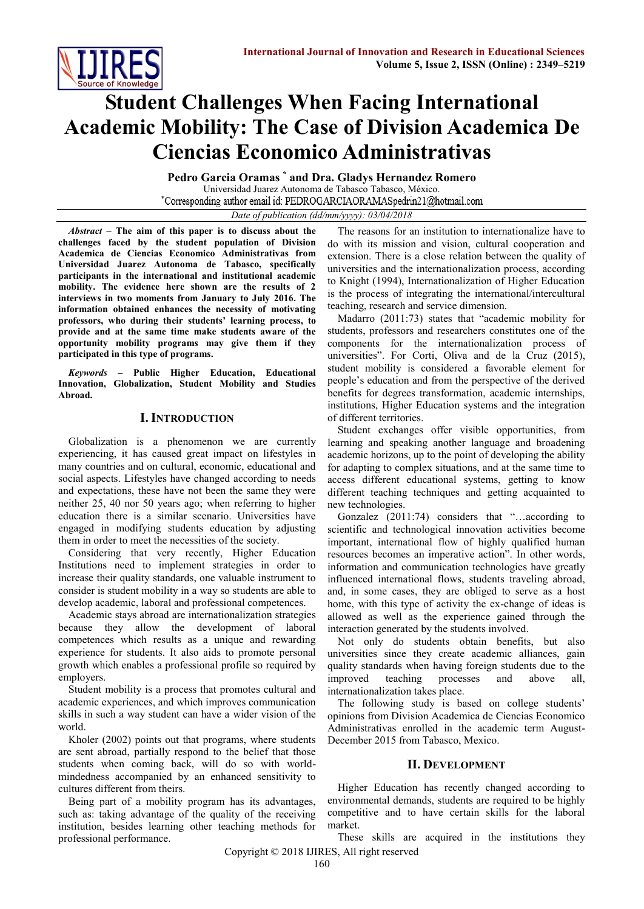

# **Student Challenges When Facing International Academic Mobility: The Case of Division Academica De Ciencias Economico Administrativas**

**Pedro Garcia Oramas \* and Dra. Gladys Hernandez Romero** Universidad Juarez Autonoma de Tabasco Tabasco, México. \*Corresponding author email id: PEDROGARCIAORAMASpedrin21@hotmail.com

*Date of publication (dd/mm/yyyy): 03/04/2018*

*Abstract* **– The aim of this paper is to discuss about the challenges faced by the student population of Division Academica de Ciencias Economico Administrativas from Universidad Juarez Autonoma de Tabasco, specifically participants in the international and institutional academic mobility. The evidence here shown are the results of 2 interviews in two moments from January to July 2016. The information obtained enhances the necessity of motivating professors, who during their students' learning process, to provide and at the same time make students aware of the opportunity mobility programs may give them if they participated in this type of programs.**

*Keywords* **– Public Higher Education, Educational Innovation, Globalization, Student Mobility and Studies Abroad.**

## **I. INTRODUCTION**

Globalization is a phenomenon we are currently experiencing, it has caused great impact on lifestyles in many countries and on cultural, economic, educational and social aspects. Lifestyles have changed according to needs and expectations, these have not been the same they were neither 25, 40 nor 50 years ago; when referring to higher education there is a similar scenario. Universities have engaged in modifying students education by adjusting them in order to meet the necessities of the society.

Considering that very recently, Higher Education Institutions need to implement strategies in order to increase their quality standards, one valuable instrument to consider is student mobility in a way so students are able to develop academic, laboral and professional competences.

Academic stays abroad are internationalization strategies because they allow the development of laboral competences which results as a unique and rewarding experience for students. It also aids to promote personal growth which enables a professional profile so required by employers.

Student mobility is a process that promotes cultural and academic experiences, and which improves communication skills in such a way student can have a wider vision of the world.

Kholer (2002) points out that programs, where students are sent abroad, partially respond to the belief that those students when coming back, will do so with worldmindedness accompanied by an enhanced sensitivity to cultures different from theirs.

Being part of a mobility program has its advantages, such as: taking advantage of the quality of the receiving institution, besides learning other teaching methods for professional performance.

The reasons for an institution to internationalize have to do with its mission and vision, cultural cooperation and extension. There is a close relation between the quality of universities and the internationalization process, according to Knight (1994), Internationalization of Higher Education is the process of integrating the international/intercultural teaching, research and service dimension.

Madarro (2011:73) states that "academic mobility for students, professors and researchers constitutes one of the components for the internationalization process of universities". For Corti, Oliva and de la Cruz (2015), student mobility is considered a favorable element for people's education and from the perspective of the derived benefits for degrees transformation, academic internships, institutions, Higher Education systems and the integration of different territories.

Student exchanges offer visible opportunities, from learning and speaking another language and broadening academic horizons, up to the point of developing the ability for adapting to complex situations, and at the same time to access different educational systems, getting to know different teaching techniques and getting acquainted to new technologies.

Gonzalez (2011:74) considers that "…according to scientific and technological innovation activities become important, international flow of highly qualified human resources becomes an imperative action". In other words, information and communication technologies have greatly influenced international flows, students traveling abroad, and, in some cases, they are obliged to serve as a host home, with this type of activity the ex-change of ideas is allowed as well as the experience gained through the interaction generated by the students involved.

Not only do students obtain benefits, but also universities since they create academic alliances, gain quality standards when having foreign students due to the improved teaching processes and above all, internationalization takes place.

The following study is based on college students' opinions from Division Academica de Ciencias Economico Administrativas enrolled in the academic term August-December 2015 from Tabasco, Mexico.

# **II. DEVELOPMENT**

Higher Education has recently changed according to environmental demands, students are required to be highly competitive and to have certain skills for the laboral market.

Copyright © 2018 IJIRES, All right reserved These skills are acquired in the institutions they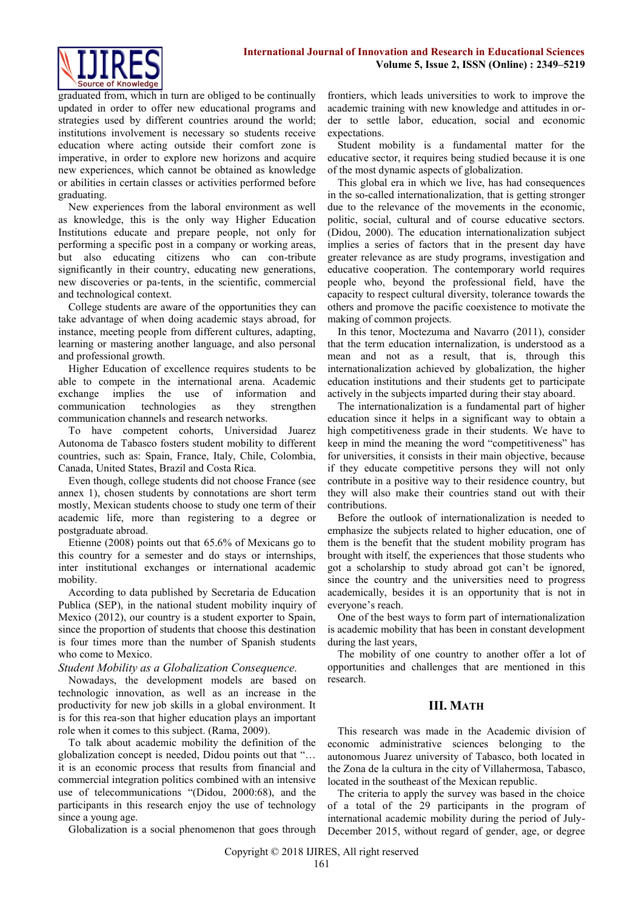

graduated from, which in turn are obliged to be continually updated in order to offer new educational programs and strategies used by different countries around the world; institutions involvement is necessary so students receive education where acting outside their comfort zone is imperative, in order to explore new horizons and acquire new experiences, which cannot be obtained as knowledge or abilities in certain classes or activities performed before graduating.

New experiences from the laboral environment as well as knowledge, this is the only way Higher Education Institutions educate and prepare people, not only for performing a specific post in a company or working areas, but also educating citizens who can con-tribute significantly in their country, educating new generations, new discoveries or pa-tents, in the scientific, commercial and technological context.

College students are aware of the opportunities they can take advantage of when doing academic stays abroad, for instance, meeting people from different cultures, adapting, learning or mastering another language, and also personal and professional growth.

Higher Education of excellence requires students to be able to compete in the international arena. Academic exchange implies the use of information and communication technologies as they strengthen communication channels and research networks.

To have competent cohorts, Universidad Juarez Autonoma de Tabasco fosters student mobility to different countries, such as: Spain, France, Italy, Chile, Colombia, Canada, United States, Brazil and Costa Rica.

Even though, college students did not choose France (see annex 1), chosen students by connotations are short term mostly, Mexican students choose to study one term of their academic life, more than registering to a degree or postgraduate abroad.

Etienne (2008) points out that 65.6% of Mexicans go to this country for a semester and do stays or internships, inter institutional exchanges or international academic mobility.

According to data published by Secretaria de Education Publica (SEP), in the national student mobility inquiry of Mexico (2012), our country is a student exporter to Spain, since the proportion of students that choose this destination is four times more than the number of Spanish students who come to Mexico.

## *Student Mobility as a Globalization Consequence.*

Nowadays, the development models are based on technologic innovation, as well as an increase in the productivity for new job skills in a global environment. It is for this rea-son that higher education plays an important role when it comes to this subject. (Rama, 2009).

To talk about academic mobility the definition of the globalization concept is needed, Didou points out that "… it is an economic process that results from financial and commercial integration politics combined with an intensive use of telecommunications "(Didou, 2000:68), and the participants in this research enjoy the use of technology since a young age.

Globalization is a social phenomenon that goes through

frontiers, which leads universities to work to improve the academic training with new knowledge and attitudes in order to settle labor, education, social and economic expectations.

Student mobility is a fundamental matter for the educative sector, it requires being studied because it is one of the most dynamic aspects of globalization.

This global era in which we live, has had consequences in the so-called internationalization, that is getting stronger due to the relevance of the movements in the economic, politic, social, cultural and of course educative sectors. (Didou, 2000). The education internationalization subject implies a series of factors that in the present day have greater relevance as are study programs, investigation and educative cooperation. The contemporary world requires people who, beyond the professional field, have the capacity to respect cultural diversity, tolerance towards the others and promove the pacific coexistence to motivate the making of common projects.

In this tenor, Moctezuma and Navarro (2011), consider that the term education internalization, is understood as a mean and not as a result, that is, through this internationalization achieved by globalization, the higher education institutions and their students get to participate actively in the subjects imparted during their stay aboard.

The internationalization is a fundamental part of higher education since it helps in a significant way to obtain a high competitiveness grade in their students. We have to keep in mind the meaning the word "competitiveness" has for universities, it consists in their main objective, because if they educate competitive persons they will not only contribute in a positive way to their residence country, but they will also make their countries stand out with their contributions.

Before the outlook of internationalization is needed to emphasize the subjects related to higher education, one of them is the benefit that the student mobility program has brought with itself, the experiences that those students who got a scholarship to study abroad got can't be ignored, since the country and the universities need to progress academically, besides it is an opportunity that is not in everyone's reach.

One of the best ways to form part of internationalization is academic mobility that has been in constant development during the last years,

The mobility of one country to another offer a lot of opportunities and challenges that are mentioned in this research.

## **III. MATH**

This research was made in the Academic division of economic administrative sciences belonging to the autonomous Juarez university of Tabasco, both located in the Zona de la cultura in the city of Villahermosa, Tabasco, located in the southeast of the Mexican republic.

The criteria to apply the survey was based in the choice of a total of the 29 participants in the program of international academic mobility during the period of July-December 2015, without regard of gender, age, or degree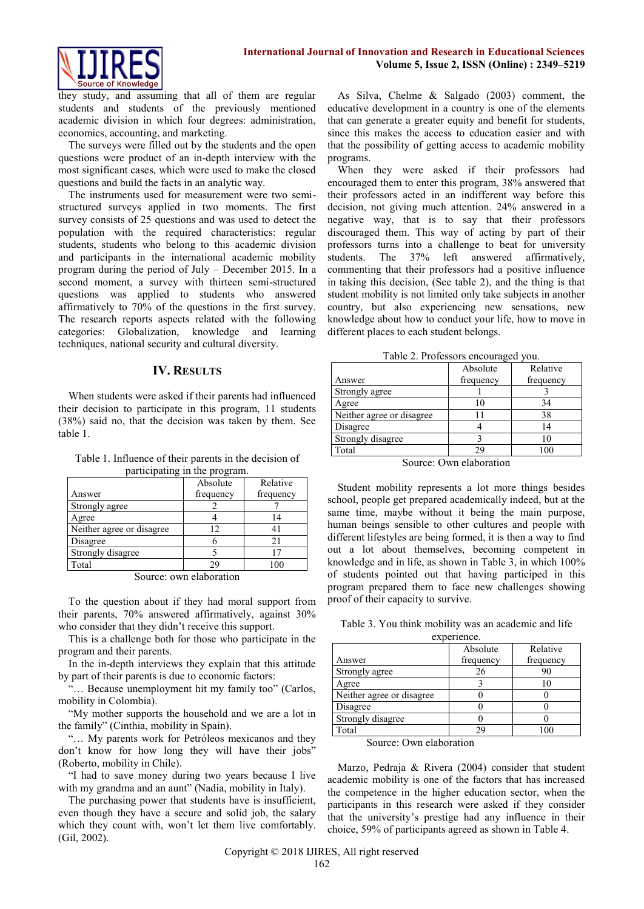

they study, and assuming that all of them are regular students and students of the previously mentioned academic division in which four degrees: administration, economics, accounting, and marketing.

The surveys were filled out by the students and the open questions were product of an in-depth interview with the most significant cases, which were used to make the closed questions and build the facts in an analytic way.

The instruments used for measurement were two semistructured surveys applied in two moments. The first survey consists of 25 questions and was used to detect the population with the required characteristics: regular students, students who belong to this academic division and participants in the international academic mobility program during the period of July – December 2015. In a second moment, a survey with thirteen semi-structured questions was applied to students who answered affirmatively to 70% of the questions in the first survey. The research reports aspects related with the following categories: Globalization, knowledge and learning techniques, national security and cultural diversity.

## **IV. RESULTS**

When students were asked if their parents had influenced their decision to participate in this program, 11 students (38%) said no, that the decision was taken by them. See table 1.

Table 1. Influence of their parents in the decision of participating in the program.

|                           | Absolute  | Relative  |
|---------------------------|-----------|-----------|
| Answer                    | frequency | frequency |
| Strongly agree            |           |           |
| Agree                     |           | 14        |
| Neither agree or disagree | 12        | 41        |
| Disagree                  |           | 21        |
| Strongly disagree         |           |           |
| Total                     | 7 Q       |           |

Source: own elaboration

To the question about if they had moral support from their parents, 70% answered affirmatively, against 30% who consider that they didn't receive this support.

This is a challenge both for those who participate in the program and their parents.

In the in-depth interviews they explain that this attitude by part of their parents is due to economic factors:

"… Because unemployment hit my family too" (Carlos, mobility in Colombia).

"My mother supports the household and we are a lot in the family" (Cinthia, mobility in Spain).

"... My parents work for Petróleos mexicanos and they don't know for how long they will have their jobs" (Roberto, mobility in Chile).

"I had to save money during two years because I live with my grandma and an aunt" (Nadia, mobility in Italy).

The purchasing power that students have is insufficient, even though they have a secure and solid job, the salary which they count with, won't let them live comfortably. (Gil, 2002).

As Silva, Chelme & Salgado (2003) comment, the educative development in a country is one of the elements that can generate a greater equity and benefit for students, since this makes the access to education easier and with that the possibility of getting access to academic mobility programs.

When they were asked if their professors had encouraged them to enter this program, 38% answered that their professors acted in an indifferent way before this decision, not giving much attention. 24% answered in a negative way, that is to say that their professors discouraged them. This way of acting by part of their professors turns into a challenge to beat for university students. The 37% left answered affirmatively, commenting that their professors had a positive influence in taking this decision, (See table 2), and the thing is that student mobility is not limited only take subjects in another country, but also experiencing new sensations, new knowledge about how to conduct your life, how to move in different places to each student belongs.

Table 2. Professors encouraged you.

|                                                   | Absolute  | Relative  |
|---------------------------------------------------|-----------|-----------|
| Answer                                            | frequency | frequency |
| Strongly agree                                    |           |           |
| Agree                                             | 10        | 34        |
| Neither agree or disagree                         |           | 38        |
| Disagree                                          |           | 14        |
| Strongly disagree                                 |           | 10        |
| Total                                             | 29        | 100       |
| $\tilde{\phantom{a}}$<br>$\overline{\phantom{0}}$ | . .       |           |

Source: Own elaboration

Student mobility represents a lot more things besides school, people get prepared academically indeed, but at the same time, maybe without it being the main purpose, human beings sensible to other cultures and people with different lifestyles are being formed, it is then a way to find out a lot about themselves, becoming competent in knowledge and in life, as shown in Table 3, in which 100% of students pointed out that having participed in this program prepared them to face new challenges showing proof of their capacity to survive.

Table 3. You think mobility was an academic and life

| experience. |
|-------------|

|                           | Absolute  | Relative  |
|---------------------------|-----------|-----------|
| Answer                    | frequency | frequency |
| Strongly agree            | 26        | 90        |
| Agree                     |           |           |
| Neither agree or disagree |           |           |
| Disagree                  |           |           |
| Strongly disagree         |           |           |
| Total                     | 29        |           |

Source: Own elaboration

Marzo, Pedraja & Rivera (2004) consider that student academic mobility is one of the factors that has increased the competence in the higher education sector, when the participants in this research were asked if they consider that the university's prestige had any influence in their choice, 59% of participants agreed as shown in Table 4.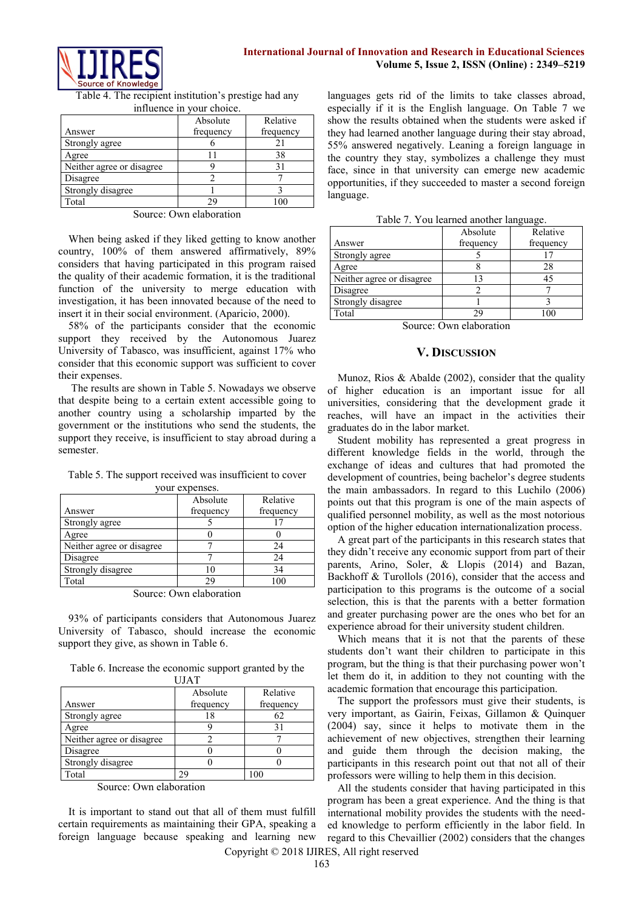

Table 4. The recipient institution's prestige had any influence in your choice.

| Absolute<br>Relative      |           |           |  |  |  |  |
|---------------------------|-----------|-----------|--|--|--|--|
| Answer                    | frequency | frequency |  |  |  |  |
| Strongly agree            |           |           |  |  |  |  |
| Agree                     |           | 38        |  |  |  |  |
| Neither agree or disagree |           | 31        |  |  |  |  |
| Disagree                  |           |           |  |  |  |  |
| Strongly disagree         |           |           |  |  |  |  |
| Total                     | 29        | 100       |  |  |  |  |

Source: Own elaboration

When being asked if they liked getting to know another country, 100% of them answered affirmatively, 89% considers that having participated in this program raised the quality of their academic formation, it is the traditional function of the university to merge education with investigation, it has been innovated because of the need to insert it in their social environment. (Aparicio, 2000).

58% of the participants consider that the economic support they received by the Autonomous Juarez University of Tabasco, was insufficient, against 17% who consider that this economic support was sufficient to cover their expenses.

The results are shown in Table 5. Nowadays we observe that despite being to a certain extent accessible going to another country using a scholarship imparted by the government or the institutions who send the students, the support they receive, is insufficient to stay abroad during a semester.

Table 5. The support received was insufficient to cover your expenses.

|                           | Absolute  | Relative  |
|---------------------------|-----------|-----------|
| Answer                    | frequency | frequency |
| Strongly agree            |           |           |
| Agree                     |           |           |
| Neither agree or disagree |           | 24        |
| Disagree                  |           | 24        |
| Strongly disagree         |           | 34        |
| Total                     | 29        | 100       |

Source: Own elaboration

93% of participants considers that Autonomous Juarez University of Tabasco, should increase the economic support they give, as shown in Table 6.

Table 6. Increase the economic support granted by the UJAT

|                           | Absolute  | Relative  |
|---------------------------|-----------|-----------|
| Answer                    | frequency | frequency |
| Strongly agree            | 18        | 62        |
| Agree                     |           |           |
| Neither agree or disagree |           |           |
| Disagree                  |           |           |
| Strongly disagree         |           |           |
| Total                     |           |           |

Source: Own elaboration

It is important to stand out that all of them must fulfill certain requirements as maintaining their GPA, speaking a foreign language because speaking and learning new

languages gets rid of the limits to take classes abroad, especially if it is the English language. On Table 7 we show the results obtained when the students were asked if they had learned another language during their stay abroad, 55% answered negatively. Leaning a foreign language in the country they stay, symbolizes a challenge they must face, since in that university can emerge new academic opportunities, if they succeeded to master a second foreign language.

|  |  | Table 7. You learned another language. |
|--|--|----------------------------------------|
|  |  |                                        |

| Table 7. Tou icarriculationici fanguage. |           |           |  |  |
|------------------------------------------|-----------|-----------|--|--|
|                                          | Absolute  | Relative  |  |  |
| Answer                                   | frequency | frequency |  |  |
| Strongly agree                           |           |           |  |  |
| Agree                                    |           | 28        |  |  |
| Neither agree or disagree                | 13        | 45        |  |  |
| Disagree                                 |           |           |  |  |
| Strongly disagree                        |           |           |  |  |
| Total                                    | 29        | 100       |  |  |
| –                                        |           |           |  |  |

Source: Own elaboration

#### **V. DISCUSSION**

Munoz, Rios  $\&$  Abalde (2002), consider that the quality of higher education is an important issue for all universities, considering that the development grade it reaches, will have an impact in the activities their graduates do in the labor market.

Student mobility has represented a great progress in different knowledge fields in the world, through the exchange of ideas and cultures that had promoted the development of countries, being bachelor's degree students the main ambassadors. In regard to this Luchilo (2006) points out that this program is one of the main aspects of qualified personnel mobility, as well as the most notorious option of the higher education internationalization process.

A great part of the participants in this research states that they didn't receive any economic support from part of their parents, Arino, Soler, & Llopis (2014) and Bazan, Backhoff & Turollols (2016), consider that the access and participation to this programs is the outcome of a social selection, this is that the parents with a better formation and greater purchasing power are the ones who bet for an experience abroad for their university student children.

Which means that it is not that the parents of these students don't want their children to participate in this program, but the thing is that their purchasing power won't let them do it, in addition to they not counting with the academic formation that encourage this participation.

The support the professors must give their students, is very important, as Gairin, Feixas, Gillamon & Quinquer (2004) say, since it helps to motivate them in the achievement of new objectives, strengthen their learning and guide them through the decision making, the participants in this research point out that not all of their professors were willing to help them in this decision.

All the students consider that having participated in this program has been a great experience. And the thing is that international mobility provides the students with the needed knowledge to perform efficiently in the labor field. In regard to this Chevaillier (2002) considers that the changes

Copyright © 2018 IJIRES, All right reserved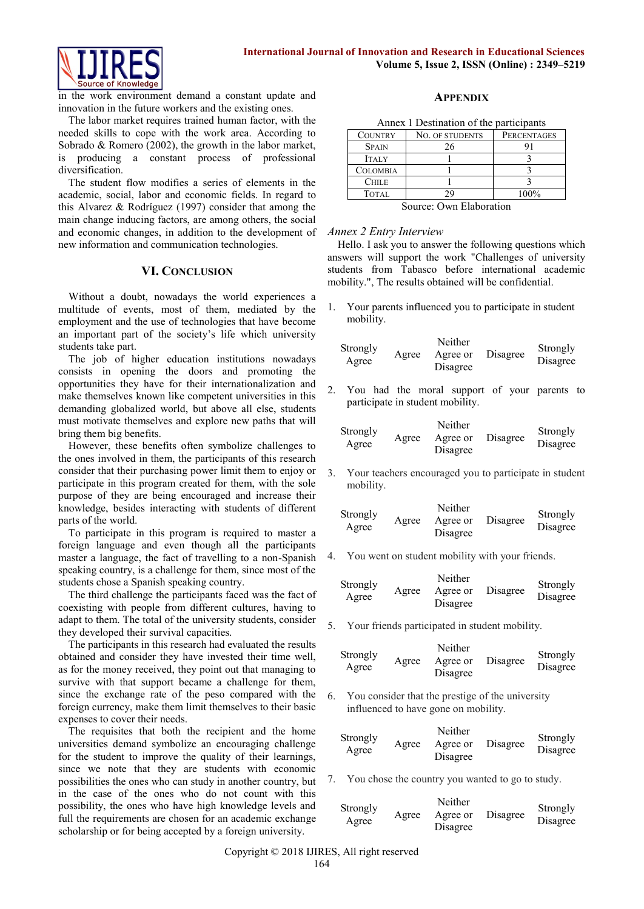

in the work environment demand a constant update and innovation in the future workers and the existing ones.

The labor market requires trained human factor, with the needed skills to cope with the work area. According to Sobrado & Romero (2002), the growth in the labor market, is producing a constant process of professional diversification.

The student flow modifies a series of elements in the academic, social, labor and economic fields. In regard to this Alvarez & Rodríguez (1997) consider that among the main change inducing factors, are among others, the social and economic changes, in addition to the development of new information and communication technologies.

#### **VI. CONCLUSION**

Without a doubt, nowadays the world experiences a multitude of events, most of them, mediated by the employment and the use of technologies that have become an important part of the society's life which university students take part.

The job of higher education institutions nowadays consists in opening the doors and promoting the opportunities they have for their internationalization and make themselves known like competent universities in this demanding globalized world, but above all else, students must motivate themselves and explore new paths that will bring them big benefits.

However, these benefits often symbolize challenges to the ones involved in them, the participants of this research consider that their purchasing power limit them to enjoy or participate in this program created for them, with the sole purpose of they are being encouraged and increase their knowledge, besides interacting with students of different parts of the world.

To participate in this program is required to master a foreign language and even though all the participants master a language, the fact of travelling to a non-Spanish speaking country, is a challenge for them, since most of the students chose a Spanish speaking country.

The third challenge the participants faced was the fact of coexisting with people from different cultures, having to adapt to them. The total of the university students, consider they developed their survival capacities.

The participants in this research had evaluated the results obtained and consider they have invested their time well, as for the money received, they point out that managing to survive with that support became a challenge for them, since the exchange rate of the peso compared with the foreign currency, make them limit themselves to their basic expenses to cover their needs.

The requisites that both the recipient and the home universities demand symbolize an encouraging challenge for the student to improve the quality of their learnings, since we note that they are students with economic possibilities the ones who can study in another country, but in the case of the ones who do not count with this possibility, the ones who have high knowledge levels and full the requirements are chosen for an academic exchange scholarship or for being accepted by a foreign university.

## **APPENDIX**

Annex 1 Destination of the participants

| <b>NO. OF STUDENTS</b> | <b>PERCENTAGES</b> |
|------------------------|--------------------|
|                        |                    |
|                        |                    |
|                        |                    |
|                        |                    |
|                        | 100%               |
|                        |                    |

Source: Own Elaboration

#### *Annex 2 Entry Interview*

Hello. I ask you to answer the following questions which answers will support the work "Challenges of university students from Tabasco before international academic mobility.", The results obtained will be confidential.

1. Your parents influenced you to participate in student mobility.

| Strongly<br>Agree | Agree | Neither<br>Agree or<br>Disagree | Disagree | Strongly<br>Disagree |
|-------------------|-------|---------------------------------|----------|----------------------|
|                   |       |                                 |          |                      |

2. You had the moral support of your parents to participate in student mobility.

| Strongly |       | Neither  |          | Strongly |
|----------|-------|----------|----------|----------|
| Agree    | Agree | Agree or | Disagree | Disagree |
|          |       | Disagree |          |          |

3. Your teachers encouraged you to participate in student mobility.

You went on student mobility with your friends.

| Strongly<br>Agree | Agree | Neither<br>Agree or | Disagree | Strongly<br>Disagree |
|-------------------|-------|---------------------|----------|----------------------|
|                   |       | Disagree            |          |                      |

5. Your friends participated in student mobility.

|                   |       | Neither              |          |                      |
|-------------------|-------|----------------------|----------|----------------------|
| Strongly<br>Agree | Agree | Agree or<br>Disagree | Disagree | Strongly<br>Disagree |
|                   |       |                      |          |                      |

6. You consider that the prestige of the university influenced to have gone on mobility.

| Strongly |       | Neither              |          | Strongly |
|----------|-------|----------------------|----------|----------|
| Agree    | Agree | Agree or<br>Disagree | Disagree | Disagree |

7. You chose the country you wanted to go to study.

| Strongly<br>Agree | Agree | Neither<br>Agree or<br>Disagree | Disagree | Strongly<br>Disagree |
|-------------------|-------|---------------------------------|----------|----------------------|
|                   |       |                                 |          |                      |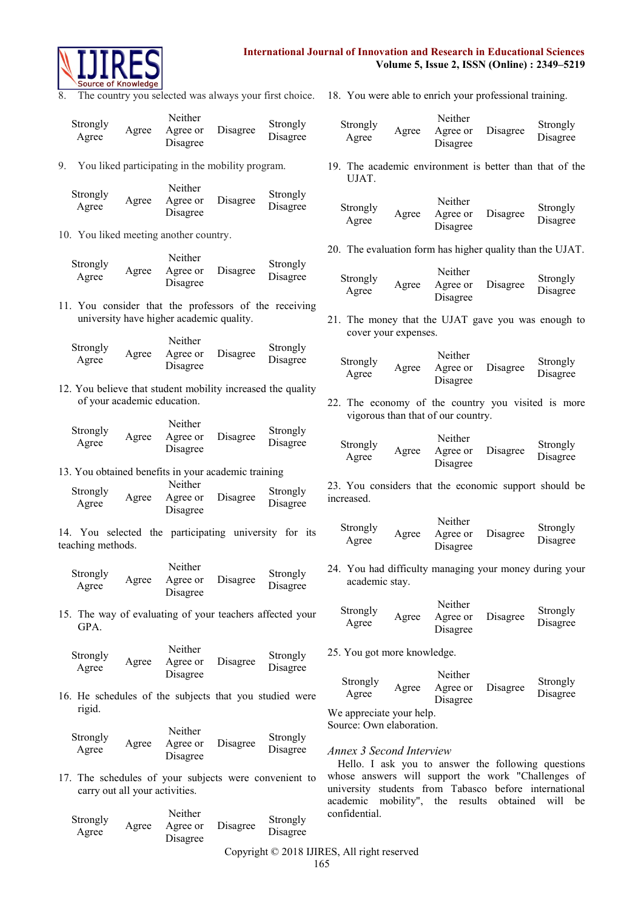

8. The country you selected was always your first choice. 18. You were able to enrich your professional training.

| Strongly |       | Neither  |          | Strongly |
|----------|-------|----------|----------|----------|
| Agree    | Agree | Agree or | Disagree | Disagree |
|          |       | Disagree |          |          |

9. You liked participating in the mobility program.

| Strongly |       | Neither  |          | Strongly |
|----------|-------|----------|----------|----------|
| Agree    | Agree | Agree or | Disagree | Disagree |
|          |       | Disagree |          |          |

10. You liked meeting another country.

|                   |       | Neither  |          |                      |
|-------------------|-------|----------|----------|----------------------|
| Strongly<br>Agree | Agree | Agree or | Disagree | Strongly<br>Disagree |
|                   |       | Disagree |          |                      |

11. You consider that the professors of the receiving university have higher academic quality.

|                   |       | Neither  |          | Strongly |
|-------------------|-------|----------|----------|----------|
| Strongly<br>Agree | Agree | Agree or | Disagree | Disagree |
|                   |       | Disagree |          |          |

12. You believe that student mobility increased the quality of your academic education.

|          |       | Neither  |          |                      |
|----------|-------|----------|----------|----------------------|
| Strongly | Agree | Agree or | Disagree | Strongly<br>Disagree |
| Agree    |       | Disagree |          |                      |

13. You obtained benefits in your academic training

|                   |       | Neither  |          |                      |
|-------------------|-------|----------|----------|----------------------|
| Strongly<br>Agree | Agree | Agree or | Disagree | Strongly<br>Disagree |
|                   |       | Disagree |          |                      |

14. You selected the participating university for its teaching methods.

| Strongly<br>Agree | Agree | Neither<br>Agree or<br>Disagree | Disagree | Strongly<br>Disagree |
|-------------------|-------|---------------------------------|----------|----------------------|
|-------------------|-------|---------------------------------|----------|----------------------|

15. The way of evaluating of your teachers affected your GPA.

| Strongly<br>Agree | Agree | Neither<br>Agree or<br>Disagree | Disagree | Strongly<br>Disagree |
|-------------------|-------|---------------------------------|----------|----------------------|
|-------------------|-------|---------------------------------|----------|----------------------|

16. He schedules of the subjects that you studied were rigid.

| Strongly |       | Neither  |          | Strongly |
|----------|-------|----------|----------|----------|
| Agree    | Agree | Agree or | Disagree | Disagree |
|          |       | Disagree |          |          |

17. The schedules of your subjects were convenient to carry out all your activities.

| Strongly<br>Agree | Agree | Neither<br>Agree or<br>Disagree | Disagree | Strongly<br>Disagree |
|-------------------|-------|---------------------------------|----------|----------------------|
|                   |       |                                 |          |                      |

| Strongly<br>Agree | Agree | Neither<br>Agree or<br>Disagree | Disagree | Strongly<br>Disagree |
|-------------------|-------|---------------------------------|----------|----------------------|
|-------------------|-------|---------------------------------|----------|----------------------|

19. The academic environment is better than that of the UJAT.

| Strongly<br>Agree | Agree | Neither<br>Agree or | Disagree | Strongly<br>Disagree |
|-------------------|-------|---------------------|----------|----------------------|
|                   |       | Disagree            |          |                      |

20. The evaluation form has higher quality than the UJAT.

|                   |       | Neither  |          | Strongly |
|-------------------|-------|----------|----------|----------|
| Strongly<br>Agree | Agree | Agree or | Disagree | Disagree |
|                   |       | Disagree |          |          |

21. The money that the UJAT gave you was enough to cover your expenses.

| Strongly<br>Agree | Agree | Neither<br>Agree or<br>Disagree | Disagree | Strongly<br>Disagree |
|-------------------|-------|---------------------------------|----------|----------------------|
|                   |       |                                 |          |                      |

22. The economy of the country you visited is more vigorous than that of our country.

|                   |       | Neither  |          |                      |
|-------------------|-------|----------|----------|----------------------|
| Strongly<br>Agree | Agree | Agree or | Disagree | Strongly<br>Disagree |
|                   |       | Disagree |          |                      |

23. You considers that the economic support should be increased.

|                   |       | Neither  |          | Strongly |
|-------------------|-------|----------|----------|----------|
| Strongly<br>Agree | Agree | Agree or | Disagree | Disagree |
|                   |       | Disagree |          |          |

24. You had difficulty managing your money during your academic stay.

| Strongly<br>Agree | Agree | Neither<br>Agree or<br>Disagree | Disagree | Strongly<br>Disagree |
|-------------------|-------|---------------------------------|----------|----------------------|
|                   |       |                                 |          |                      |

25. You got more knowledge.

| Strongly<br>Agree        | Agree | Neither<br>Agree or<br>Disagree | Disagree | Strongly<br>Disagree |
|--------------------------|-------|---------------------------------|----------|----------------------|
| We appreciate your help. |       |                                 |          |                      |
| Source: Own elaboration. |       |                                 |          |                      |

# *Annex 3 Second Interview*

Hello. I ask you to answer the following questions whose answers will support the work "Challenges of university students from Tabasco before international academic mobility", the results obtained will be confidential.

# Copyright © 2018 IJIRES, All right reserved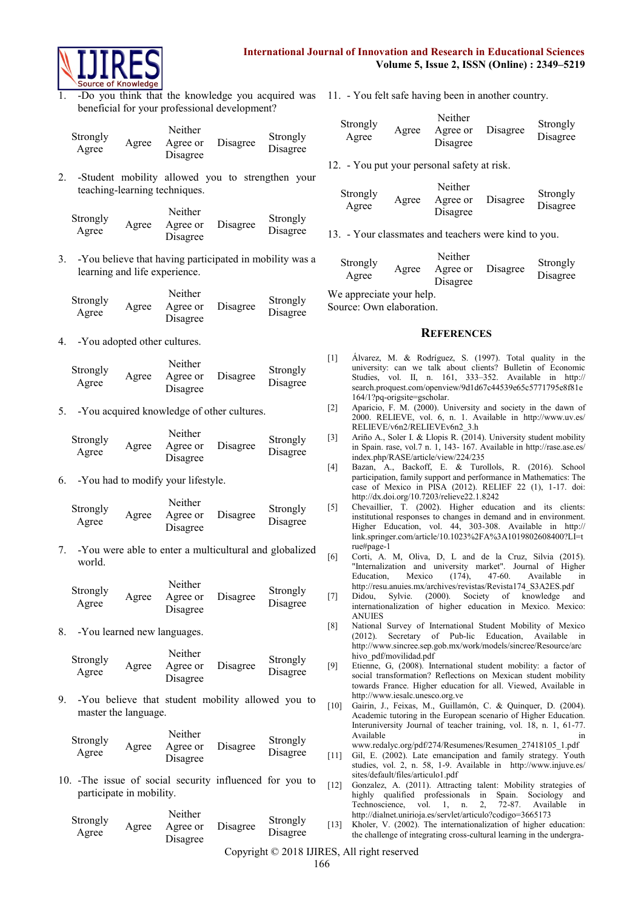



1. -Do you think that the knowledge you acquired was 11. - You felt safe having been in another country. beneficial for your professional development?

| Strongly<br>Agree | Agree | Neither<br>Agree or<br>Disagree | Disagree | Strongly<br>Disagree |
|-------------------|-------|---------------------------------|----------|----------------------|
|-------------------|-------|---------------------------------|----------|----------------------|

2. -Student mobility allowed you to strengthen your teaching-learning techniques.

| Strongly |       | Neither  |          | Strongly |
|----------|-------|----------|----------|----------|
| Agree    | Agree | Agree or | Disagree | Disagree |
|          |       | Disagree |          |          |

3. -You believe that having participated in mobility was a learning and life experience.

|                   |       | Neither  |          |                      |
|-------------------|-------|----------|----------|----------------------|
| Strongly<br>Agree | Agree | Agree or | Disagree | Strongly<br>Disagree |
|                   |       | Disagree |          |                      |

4. -You adopted other cultures.

| Strongly |       | Neither  |          | Strongly |
|----------|-------|----------|----------|----------|
| Agree    | Agree | Agree or | Disagree | Disagree |
|          |       | Disagree |          |          |

5. -You acquired knowledge of other cultures.

|                   |       | Neither  |          |                      |
|-------------------|-------|----------|----------|----------------------|
| Strongly<br>Agree | Agree | Agree or | Disagree | Strongly<br>Disagree |
|                   |       | Disagree |          |                      |

6. -You had to modify your lifestyle.

|                   |       | Neither              |          |                      |
|-------------------|-------|----------------------|----------|----------------------|
| Strongly<br>Agree | Agree | Agree or<br>Disagree | Disagree | Strongly<br>Disagree |
|                   |       |                      |          |                      |

7. -You were able to enter a multicultural and globalized world.

|                   |       | Neither  |          |                      |
|-------------------|-------|----------|----------|----------------------|
| Strongly<br>Agree | Agree | Agree or | Disagree | Strongly<br>Disagree |
|                   |       | Disagree |          |                      |

8. -You learned new languages.

|                   |       | Neither              |          |                      |  |  |
|-------------------|-------|----------------------|----------|----------------------|--|--|
| Strongly<br>Agree | Agree | Agree or<br>Disagree | Disagree | Strongly<br>Disagree |  |  |
|                   |       |                      |          |                      |  |  |

Neither

9. -You believe that student mobility allowed you to master the language.

|                   |       | Neither              |          |                      |
|-------------------|-------|----------------------|----------|----------------------|
| Strongly<br>Agree | Agree | Agree or<br>Disagree | Disagree | Strongly<br>Disagree |

10. -The issue of social security influenced for you to participate in mobility.

| Strongly |       | Neither              |          | Strongly |  |
|----------|-------|----------------------|----------|----------|--|
| Agree    | Agree | Agree or<br>Disagree | Disagree | Disagree |  |

| Strongly<br>Agree | Agree | Neither<br>Agree or<br>Disagree | Disagree | Strongly<br>Disagree |
|-------------------|-------|---------------------------------|----------|----------------------|
|-------------------|-------|---------------------------------|----------|----------------------|

12. - You put your personal safety at risk.

| Strongly<br>Agree | Agree | Neither<br>Agree or<br>Disagree | Disagree | Strongly<br>Disagree |
|-------------------|-------|---------------------------------|----------|----------------------|
|-------------------|-------|---------------------------------|----------|----------------------|

13. - Your classmates and teachers were kind to you.

| Strongly<br>Agree | Agree | Neither<br>Agree or<br>Disagree | Disagree | Strongly<br>Disagree |
|-------------------|-------|---------------------------------|----------|----------------------|
|-------------------|-------|---------------------------------|----------|----------------------|

We appreciate your help.

Source: Own elaboration.

#### **REFERENCES**

- [1] Álvarez, M. & Rodríguez, S. (1997). Total quality in the university: can we talk about clients? Bulletin of Economic Studies, vol. II, n. 161, 333–352. Available in [http://](http://search.proquest.com/openview/9d1d67c44539e65c5771795e8f81e164/1?pq-origsite=gscholar) [search.proquest.com/openview/9d1d67c44539e65c5771795e8f81e](http://search.proquest.com/openview/9d1d67c44539e65c5771795e8f81e164/1?pq-origsite=gscholar) [164/1?pq-origsite=gscholar.](http://search.proquest.com/openview/9d1d67c44539e65c5771795e8f81e164/1?pq-origsite=gscholar)
- [2] Aparicio, F. M. (2000). University and society in the dawn of 2000. RELIEVE, vol. 6, n. 1. Available in [http://www.uv.es/](http://www.uv.es/RELIEVE/v6n2/RELIEVEv6n2_3.h) [RELIEVE/v6n2/RELIEVEv6n2\\_3.h](http://www.uv.es/RELIEVE/v6n2/RELIEVEv6n2_3.h)
- [3] Ariño A., Soler I. & Llopis R. (2014). University student mobility in Spain. rase, vol.7 n. 1, 143- 167. Available in [http://rase.ase.es/](http://rase.ase.es/index.php/RASE/article/view/224/235) [index.php/RASE/article/view/224/235](http://rase.ase.es/index.php/RASE/article/view/224/235)
- [4] Bazan, A., Backoff, E. & Turollols, R. (2016). School participation, family support and performance in Mathematics: The case of Mexico in PISA (2012). RELIEF 22 (1), 1-17. doi: <http://dx.doi.org/10.7203/relieve22.1.8242>
- [5] Chevaillier, T. (2002). Higher education and its clients: institutional responses to changes in demand and in environment. Higher Education, vol. 44, 303-308. Available in [http://](http://link.springer.com/article/10.1023%2FA%3A1019802608400?LI=true#page-1) [link.springer.com/article/10.1023%2FA%3A1019802608400?LI=t](http://link.springer.com/article/10.1023%2FA%3A1019802608400?LI=true#page-1) [rue#page-1](http://link.springer.com/article/10.1023%2FA%3A1019802608400?LI=true#page-1)
- [6] Corti, A. M, Oliva, D, L and de la Cruz, Silvia (2015). "Internalization and university market". Journal of Higher Education, Mexico (174), 47-60. Available in [http://resu.anuies.mx/archives/revistas/Revista174\\_S3A2ES.pdf](http://resu.anuies.mx/archives/revistas/Revista174_S3A2ES.pdf)
- [7] Didou, Sylvie. (2000). Society of knowledge and internationalization of higher education in Mexico. Mexico: ANUIES
- [8] National Survey of International Student Mobility of Mexico (2012). Secretary of Pub-lic Education, Available in [http://www.sincree.sep.gob.mx/work/models/sincree/Resource/arc](http://www.sincree.sep.gob.mx/work/models/sincree/Resource/archivo_pdf/movilidad.pdf) [hivo\\_pdf/movilidad.pdf](http://www.sincree.sep.gob.mx/work/models/sincree/Resource/archivo_pdf/movilidad.pdf)
- [9] Etienne, G, (2008). International student mobility: a factor of social transformation? Reflections on Mexican student mobility towards France. Higher education for all. Viewed, Available in [http://www.iesalc.unesco.org.ve](http://www.iesalc.unesco.org.ve/)
- [10] Gairin, J., Feixas, M., Guillamón, C. & Quinquer, D. (2004). Academic tutoring in the European scenario of Higher Education. Interuniversity Journal of teacher training, vol. 18, n. 1, 61-77. Available

[www.redalyc.org/pdf/274/Resumenes/Resumen\\_27418105\\_1.pdf](http://www.redalyc.org/pdf/274/Resumenes/Resumen_27418105_1.pdf)

- [11] Gil, E. (2002). Late emancipation and family strategy. Youth studies, vol. 2, n. 58, 1-9. Available in [http://www.injuve.es/](http://www.injuve.es/sites/default/files/articulo1.pdf) [sites/default/files/articulo1.pdf](http://www.injuve.es/sites/default/files/articulo1.pdf)
- [12] Gonzalez, A. (2011). Attracting talent: Mobility strategies of highly qualified professionals in Spain. Sociology and Technoscience, vol. 1, n. 2, 72-87. Available in <http://dialnet.unirioja.es/servlet/articulo?codigo=3665173>

[13] Kholer, V. (2002). The internationalization of higher education: the challenge of integrating cross-cultural learning in the undergra-

Copyright © 2018 IJIRES, All right reserved